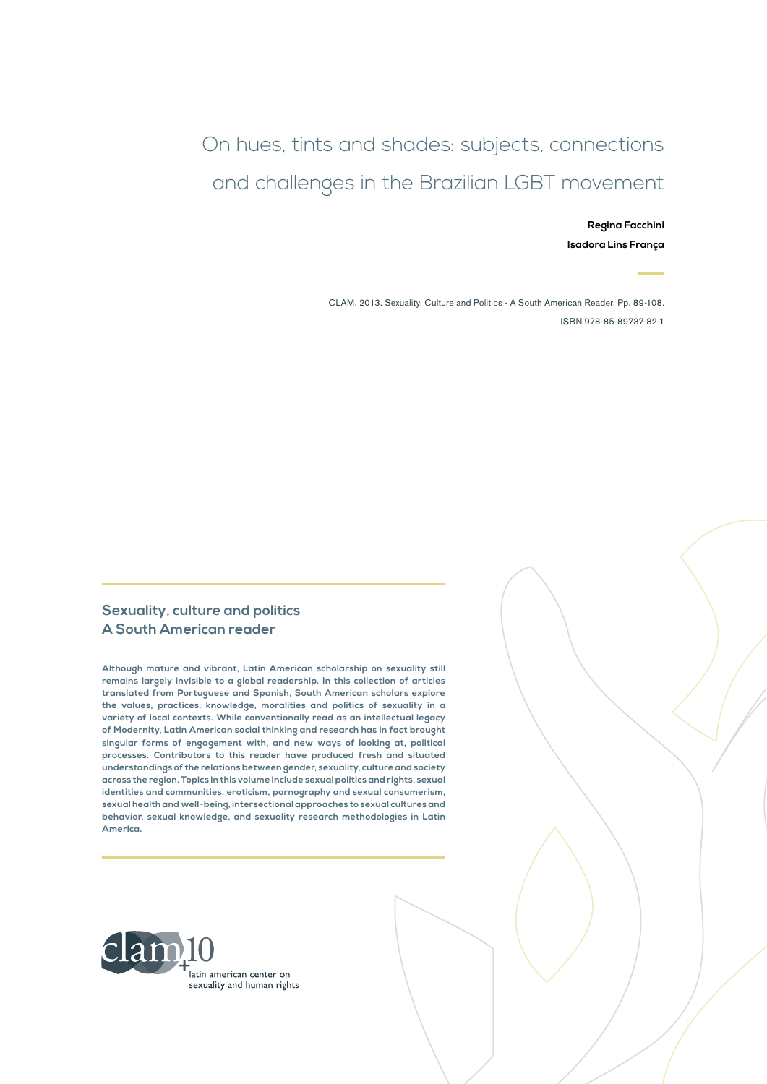# On hues, tints and shades: subjects, connections and challenges in the Brazilian LGBT movement

**Regina Facchini Isadora Lins França**

CLAM. 2013. Sexuality, Culture and Politics - A South American Reader. Pp. 89-108. ISBN 978-85-89737-82-1

#### **Sexuality, culture and politics A South American reader**

**Although mature and vibrant, Latin American scholarship on sexuality still remains largely invisible to a global readership. In this collection of articles translated from Portuguese and Spanish, South American scholars explore the values, practices, knowledge, moralities and politics of sexuality in a variety of local contexts. While conventionally read as an intellectual legacy of Modernity, Latin American social thinking and research has in fact brought singular forms of engagement with, and new ways of looking at, political processes. Contributors to this reader have produced fresh and situated understandings of the relations between gender, sexuality, culture and society across the region. Topics in this volume include sexual politics and rights, sexual identities and communities, eroticism, pornography and sexual consumerism, sexual health and well-being, intersectional approaches to sexual cultures and behavior, sexual knowledge, and sexuality research methodologies in Latin America.**

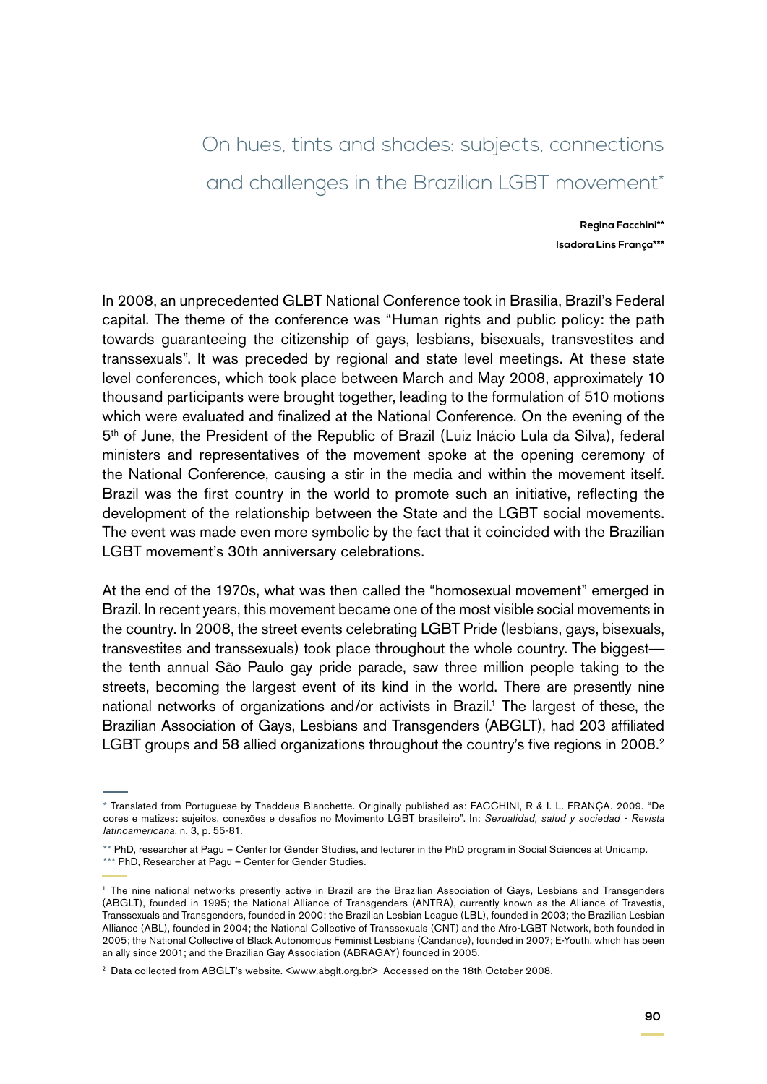# On hues, tints and shades: subjects, connections and challenges in the Brazilian LGBT movement\*

**Regina Facchini\*\* Isadora Lins França\*\*\***

In 2008, an unprecedented GLBT National Conference took in Brasilia, Brazil's Federal capital. The theme of the conference was "Human rights and public policy: the path towards guaranteeing the citizenship of gays, lesbians, bisexuals, transvestites and transsexuals". It was preceded by regional and state level meetings. At these state level conferences, which took place between March and May 2008, approximately 10 thousand participants were brought together, leading to the formulation of 510 motions which were evaluated and finalized at the National Conference. On the evening of the  $5<sup>th</sup>$  of June, the President of the Republic of Brazil (Luiz Inácio Lula da Silva), federal ministers and representatives of the movement spoke at the opening ceremony of the National Conference, causing a stir in the media and within the movement itself. Brazil was the first country in the world to promote such an initiative, reflecting the development of the relationship between the State and the LGBT social movements. The event was made even more symbolic by the fact that it coincided with the Brazilian LGBT movement's 30th anniversary celebrations.

At the end of the 1970s, what was then called the "homosexual movement" emerged in Brazil. In recent years, this movement became one of the most visible social movements in the country. In 2008, the street events celebrating LGBT Pride (lesbians, gays, bisexuals, transvestites and transsexuals) took place throughout the whole country. The biggest the tenth annual São Paulo gay pride parade, saw three million people taking to the streets, becoming the largest event of its kind in the world. There are presently nine national networks of organizations and/or activists in Brazil.<sup>1</sup> The largest of these, the Brazilian Association of Gays, Lesbians and Transgenders (ABGLT), had 203 affiliated LGBT groups and 58 allied organizations throughout the country's five regions in 2008.<sup>2</sup>

<sup>\*</sup> Translated from Portuguese by Thaddeus Blanchette. Originally published as: FACCHINI, R & I. L. FRANÇA. 2009. "De cores e matizes: sujeitos, conexões e desafios no Movimento LGBT brasileiro". In: *Sexualidad, salud y sociedad - Revista latinoamericana*. n. 3, p. 55-81.

<sup>\*\*</sup> PhD, researcher at Pagu – Center for Gender Studies, and lecturer in the PhD program in Social Sciences at Unicamp. \*\*\* PhD, Researcher at Pagu - Center for Gender Studies.

<sup>1</sup> The nine national networks presently active in Brazil are the Brazilian Association of Gays, Lesbians and Transgenders (ABGLT), founded in 1995; the National Alliance of Transgenders (ANTRA), currently known as the Alliance of Travestis, Transsexuals and Transgenders, founded in 2000; the Brazilian Lesbian League (LBL), founded in 2003; the Brazilian Lesbian Alliance (ABL), founded in 2004; the National Collective of Transsexuals (CNT) and the Afro-LGBT Network, both founded in 2005; the National Collective of Black Autonomous Feminist Lesbians (Candance), founded in 2007; E-Youth, which has been an ally since 2001; and the Brazilian Gay Association (ABRAGAY) founded in 2005.

<sup>&</sup>lt;sup>2</sup> Data collected from ABGLT's website. <**www.abglt.org.br>** Accessed on the 18th October 2008.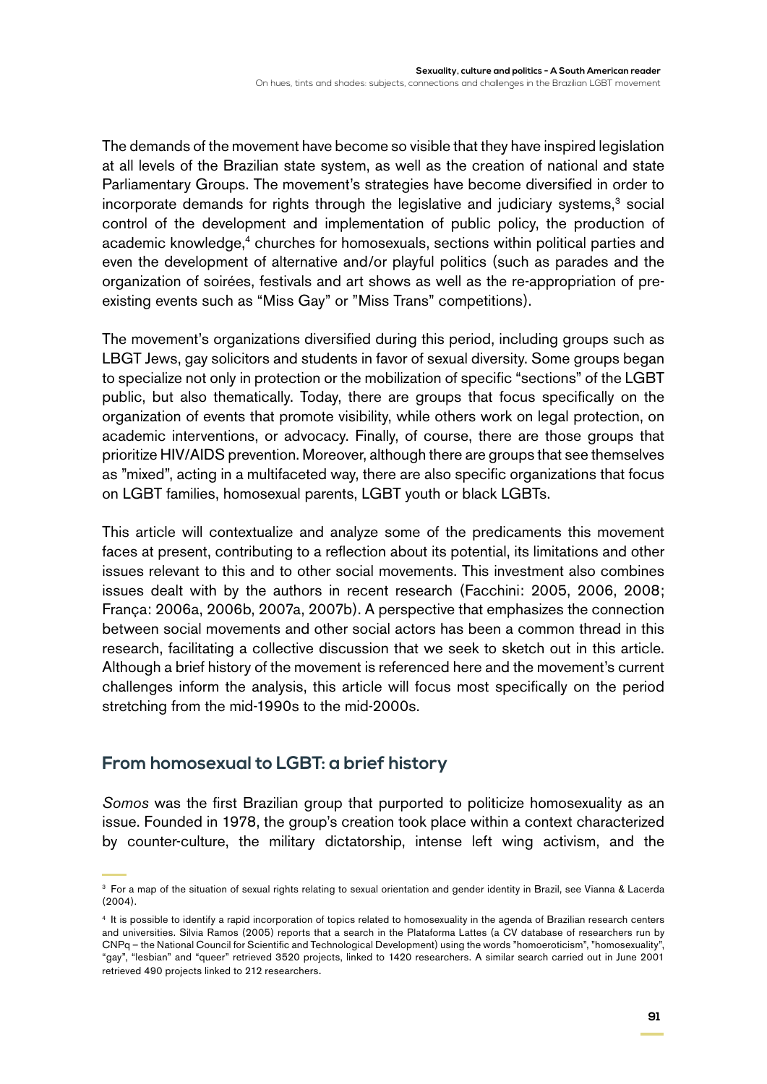The demands of the movement have become so visible that they have inspired legislation at all levels of the Brazilian state system, as well as the creation of national and state Parliamentary Groups. The movement's strategies have become diversified in order to  $incorporate$  demands for rights through the legislative and judiciary systems, $3$  social control of the development and implementation of public policy, the production of academic knowledge,<sup>4</sup> churches for homosexuals, sections within political parties and even the development of alternative and/or playful politics (such as parades and the organization of soirées, festivals and art shows as well as the re-appropriation of preexisting events such as "Miss Gay" or "Miss Trans" competitions).

The movement's organizations diversified during this period, including groups such as LBGT Jews, gay solicitors and students in favor of sexual diversity. Some groups began to specialize not only in protection or the mobilization of specific "sections" of the LGBT public, but also thematically. Today, there are groups that focus specifically on the organization of events that promote visibility, while others work on legal protection, on academic interventions, or advocacy. Finally, of course, there are those groups that prioritize HIV/AIDS prevention. Moreover, although there are groups that see themselves as "mixed", acting in a multifaceted way, there are also specific organizations that focus on LGBT families, homosexual parents, LGBT youth or black LGBTs.

This article will contextualize and analyze some of the predicaments this movement faces at present, contributing to a reflection about its potential, its limitations and other issues relevant to this and to other social movements. This investment also combines issues dealt with by the authors in recent research (Facchini: 2005, 2006, 2008; França: 2006a, 2006b, 2007a, 2007b). A perspective that emphasizes the connection between social movements and other social actors has been a common thread in this research, facilitating a collective discussion that we seek to sketch out in this article. Although a brief history of the movement is referenced here and the movement's current challenges inform the analysis, this article will focus most specifically on the period stretching from the mid-1990s to the mid-2000s.

### **From homosexual to LGBT: a brief history**

*Somos* was the first Brazilian group that purported to politicize homosexuality as an issue. Founded in 1978, the group's creation took place within a context characterized by counter-culture, the military dictatorship, intense left wing activism, and the

<sup>3</sup> For a map of the situation of sexual rights relating to sexual orientation and gender identity in Brazil, see Vianna & Lacerda (2004).

<sup>4</sup> It is possible to identify a rapid incorporation of topics related to homosexuality in the agenda of Brazilian research centers and universities. Silvia Ramos (2005) reports that a search in the Plataforma Lattes (a CV database of researchers run by CNPq – the National Council for Scientific and Technological Development) using the words "homoeroticism", "homosexuality", "gay", "lesbian" and "queer" retrieved 3520 projects, linked to 1420 researchers. A similar search carried out in June 2001 retrieved 490 projects linked to 212 researchers.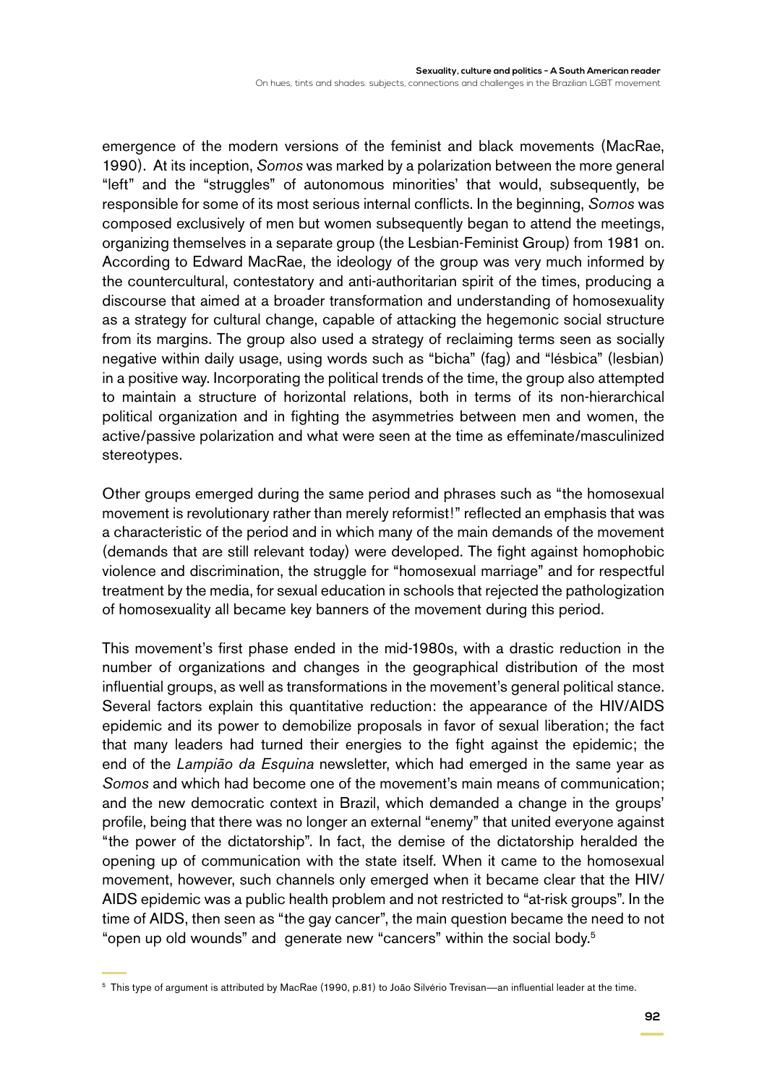emergence of the modern versions of the feminist and black movements (MacRae, 1990). At its inception, *Somos* was marked by a polarization between the more general "left" and the "struggles" of autonomous minorities' that would, subsequently, be responsible for some of its most serious internal conflicts. In the beginning, *Somos* was composed exclusively of men but women subsequently began to attend the meetings, organizing themselves in a separate group (the Lesbian-Feminist Group) from 1981 on. According to Edward MacRae, the ideology of the group was very much informed by the countercultural, contestatory and anti-authoritarian spirit of the times, producing a discourse that aimed at a broader transformation and understanding of homosexuality as a strategy for cultural change, capable of attacking the hegemonic social structure from its margins. The group also used a strategy of reclaiming terms seen as socially negative within daily usage, using words such as "bicha" (fag) and "lésbica" (lesbian) in a positive way. Incorporating the political trends of the time, the group also attempted to maintain a structure of horizontal relations, both in terms of its non-hierarchical political organization and in fighting the asymmetries between men and women, the active/passive polarization and what were seen at the time as effeminate/masculinized stereotypes.

Other groups emerged during the same period and phrases such as "the homosexual movement is revolutionary rather than merely reformist!" reflected an emphasis that was a characteristic of the period and in which many of the main demands of the movement (demands that are still relevant today) were developed. The fight against homophobic violence and discrimination, the struggle for "homosexual marriage" and for respectful treatment by the media, for sexual education in schools that rejected the pathologization of homosexuality all became key banners of the movement during this period.

This movement's first phase ended in the mid-1980s, with a drastic reduction in the number of organizations and changes in the geographical distribution of the most influential groups, as well as transformations in the movement's general political stance. Several factors explain this quantitative reduction: the appearance of the HIV/AIDS epidemic and its power to demobilize proposals in favor of sexual liberation; the fact that many leaders had turned their energies to the fight against the epidemic; the end of the *Lampião da Esquina* newsletter, which had emerged in the same year as *Somos* and which had become one of the movement's main means of communication; and the new democratic context in Brazil, which demanded a change in the groups' profile, being that there was no longer an external "enemy" that united everyone against "the power of the dictatorship". In fact, the demise of the dictatorship heralded the opening up of communication with the state itself. When it came to the homosexual movement, however, such channels only emerged when it became clear that the HIV/ AIDS epidemic was a public health problem and not restricted to "at-risk groups". In the time of AIDS, then seen as "the gay cancer", the main question became the need to not "open up old wounds" and generate new "cancers" within the social body.5

<sup>5</sup> This type of argument is attributed by MacRae (1990, p.81) to João Silvério Trevisan—an influential leader at the time.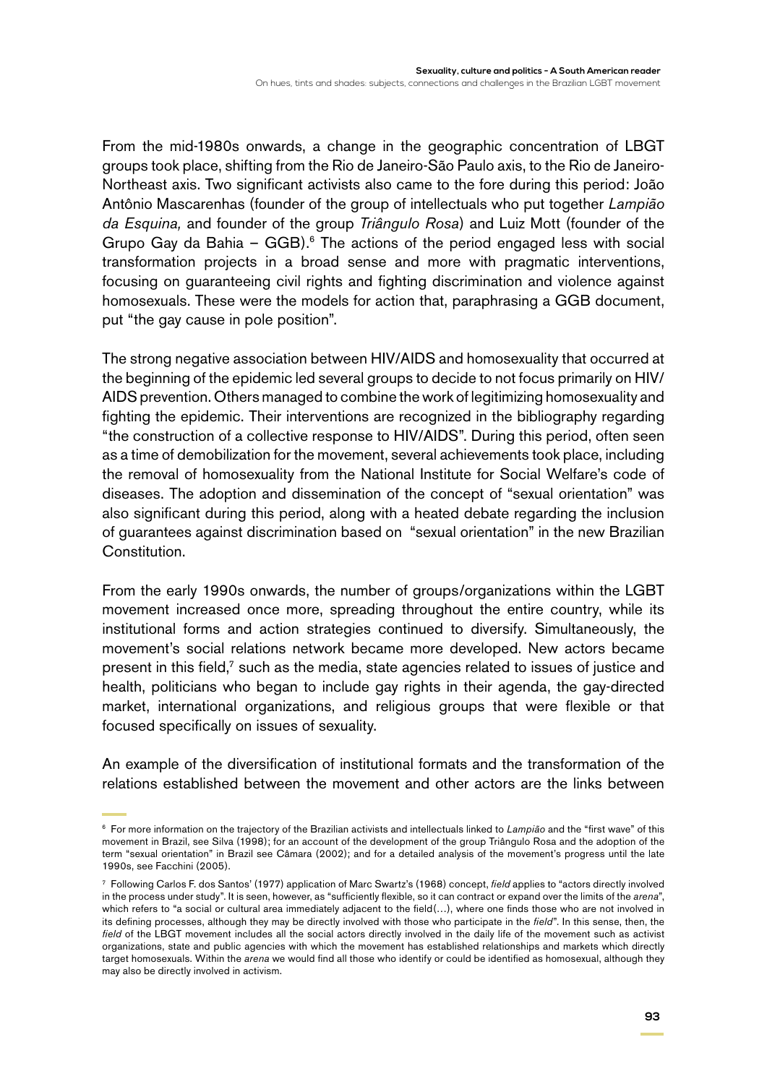From the mid-1980s onwards, a change in the geographic concentration of LBGT groups took place, shifting from the Rio de Janeiro-São Paulo axis, to the Rio de Janeiro-Northeast axis. Two significant activists also came to the fore during this period: João Antônio Mascarenhas (founder of the group of intellectuals who put together *Lampião da Esquina,* and founder of the group *Triângulo Rosa*) and Luiz Mott (founder of the Grupo Gay da Bahia – GGB). $6$  The actions of the period engaged less with social transformation projects in a broad sense and more with pragmatic interventions, focusing on guaranteeing civil rights and fighting discrimination and violence against homosexuals. These were the models for action that, paraphrasing a GGB document, put "the gay cause in pole position".

The strong negative association between HIV/AIDS and homosexuality that occurred at the beginning of the epidemic led several groups to decide to not focus primarily on HIV/ AIDS prevention. Others managed to combine the work of legitimizing homosexuality and fighting the epidemic. Their interventions are recognized in the bibliography regarding "the construction of a collective response to HIV/AIDS". During this period, often seen as a time of demobilization for the movement, several achievements took place, including the removal of homosexuality from the National Institute for Social Welfare's code of diseases. The adoption and dissemination of the concept of "sexual orientation" was also significant during this period, along with a heated debate regarding the inclusion of guarantees against discrimination based on "sexual orientation" in the new Brazilian Constitution.

From the early 1990s onwards, the number of groups/organizations within the LGBT movement increased once more, spreading throughout the entire country, while its institutional forms and action strategies continued to diversify. Simultaneously, the movement's social relations network became more developed. New actors became present in this field,<sup>7</sup> such as the media, state agencies related to issues of justice and health, politicians who began to include gay rights in their agenda, the gay-directed market, international organizations, and religious groups that were flexible or that focused specifically on issues of sexuality.

An example of the diversification of institutional formats and the transformation of the relations established between the movement and other actors are the links between

<sup>6</sup> For more information on the trajectory of the Brazilian activists and intellectuals linked to *Lampião* and the "first wave" of this movement in Brazil, see Silva (1998); for an account of the development of the group Triângulo Rosa and the adoption of the term "sexual orientation" in Brazil see Câmara (2002); and for a detailed analysis of the movement's progress until the late 1990s, see Facchini (2005).

<sup>7</sup> Following Carlos F. dos Santos' (1977) application of Marc Swartz's (1968) concept, *field* applies to "actors directly involved in the process under study". It is seen, however, as "sufficiently flexible, so it can contract or expand over the limits of the *arena*", which refers to "a social or cultural area immediately adjacent to the field(…), where one finds those who are not involved in its defining processes, although they may be directly involved with those who participate in the *field*". In this sense, then, the *field* of the LBGT movement includes all the social actors directly involved in the daily life of the movement such as activist organizations, state and public agencies with which the movement has established relationships and markets which directly target homosexuals. Within the *arena* we would find all those who identify or could be identified as homosexual, although they may also be directly involved in activism.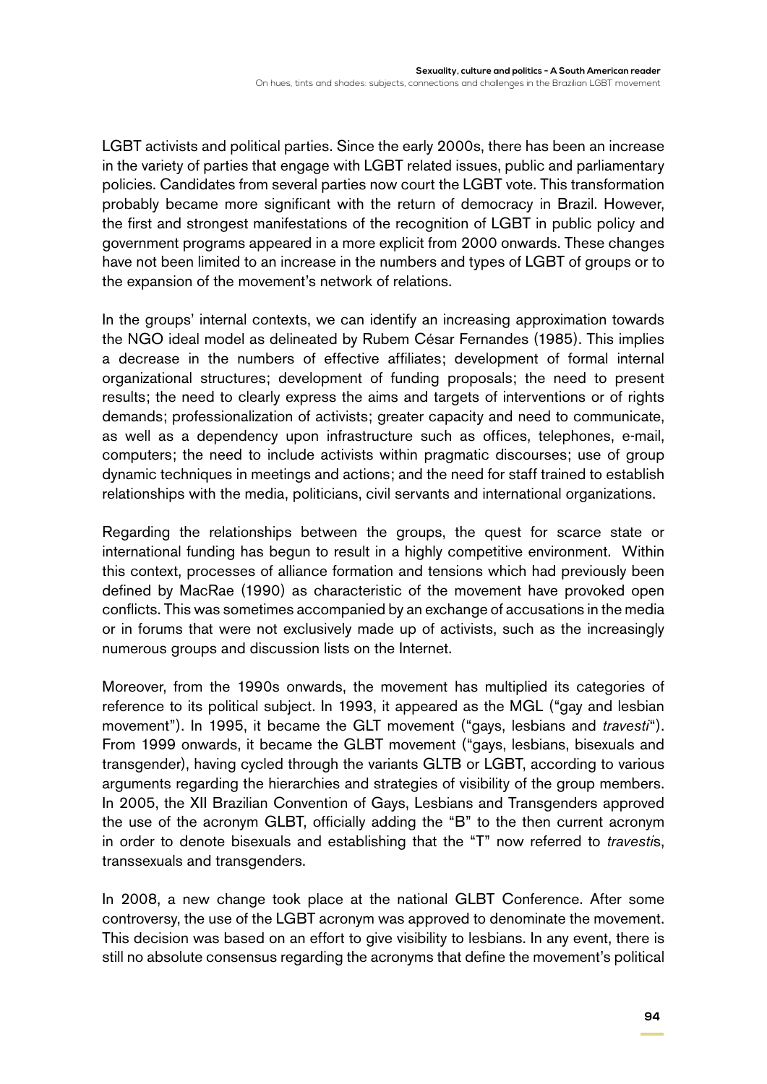LGBT activists and political parties. Since the early 2000s, there has been an increase in the variety of parties that engage with LGBT related issues, public and parliamentary policies. Candidates from several parties now court the LGBT vote. This transformation probably became more significant with the return of democracy in Brazil. However, the first and strongest manifestations of the recognition of LGBT in public policy and government programs appeared in a more explicit from 2000 onwards. These changes have not been limited to an increase in the numbers and types of LGBT of groups or to the expansion of the movement's network of relations.

In the groups' internal contexts, we can identify an increasing approximation towards the NGO ideal model as delineated by Rubem César Fernandes (1985). This implies a decrease in the numbers of effective affiliates; development of formal internal organizational structures; development of funding proposals; the need to present results; the need to clearly express the aims and targets of interventions or of rights demands; professionalization of activists; greater capacity and need to communicate, as well as a dependency upon infrastructure such as offices, telephones, e-mail, computers; the need to include activists within pragmatic discourses; use of group dynamic techniques in meetings and actions; and the need for staff trained to establish relationships with the media, politicians, civil servants and international organizations.

Regarding the relationships between the groups, the quest for scarce state or international funding has begun to result in a highly competitive environment. Within this context, processes of alliance formation and tensions which had previously been defined by MacRae (1990) as characteristic of the movement have provoked open conflicts. This was sometimes accompanied by an exchange of accusations in the media or in forums that were not exclusively made up of activists, such as the increasingly numerous groups and discussion lists on the Internet.

Moreover, from the 1990s onwards, the movement has multiplied its categories of reference to its political subject. In 1993, it appeared as the MGL ("gay and lesbian movement"). In 1995, it became the GLT movement ("gays, lesbians and *travesti*"). From 1999 onwards, it became the GLBT movement ("gays, lesbians, bisexuals and transgender), having cycled through the variants GLTB or LGBT, according to various arguments regarding the hierarchies and strategies of visibility of the group members. In 2005, the XII Brazilian Convention of Gays, Lesbians and Transgenders approved the use of the acronym GLBT, officially adding the "B" to the then current acronym in order to denote bisexuals and establishing that the "T" now referred to *travesti*s, transsexuals and transgenders.

In 2008, a new change took place at the national GLBT Conference. After some controversy, the use of the LGBT acronym was approved to denominate the movement. This decision was based on an effort to give visibility to lesbians. In any event, there is still no absolute consensus regarding the acronyms that define the movement's political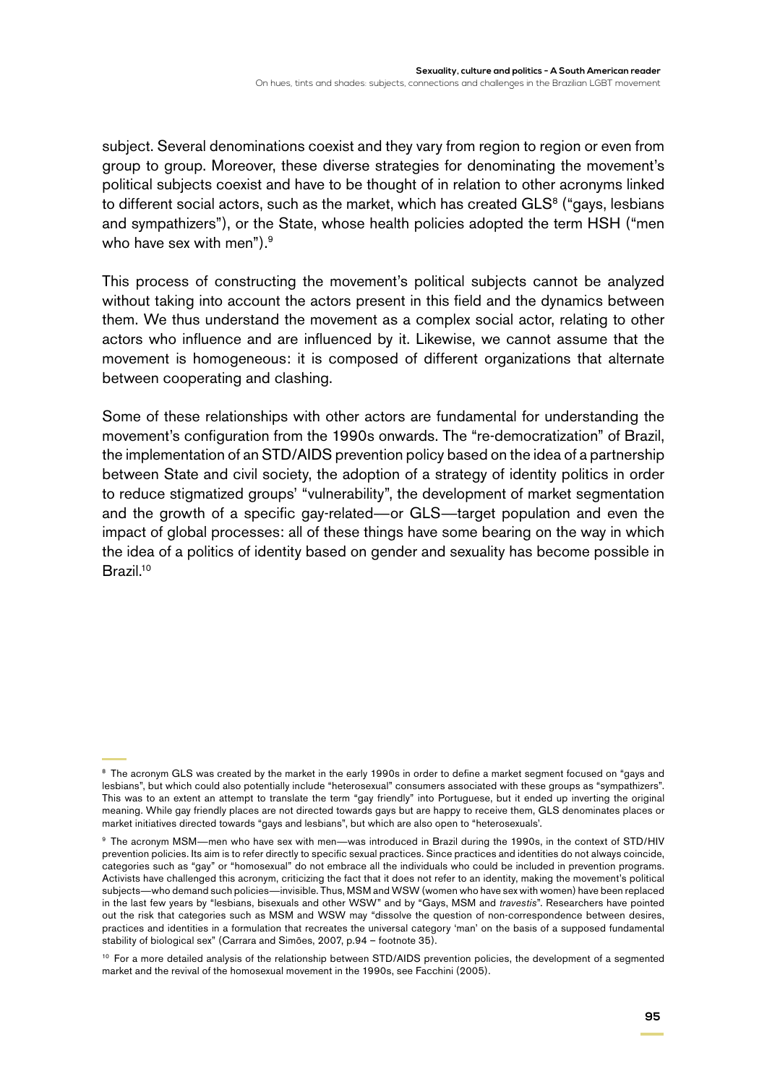subject. Several denominations coexist and they vary from region to region or even from group to group. Moreover, these diverse strategies for denominating the movement's political subjects coexist and have to be thought of in relation to other acronyms linked to different social actors, such as the market, which has created  $GLS<sup>8</sup>$  ("gays, lesbians and sympathizers"), or the State, whose health policies adopted the term HSH ("men who have sex with men").<sup>9</sup>

This process of constructing the movement's political subjects cannot be analyzed without taking into account the actors present in this field and the dynamics between them. We thus understand the movement as a complex social actor, relating to other actors who influence and are influenced by it. Likewise, we cannot assume that the movement is homogeneous: it is composed of different organizations that alternate between cooperating and clashing.

Some of these relationships with other actors are fundamental for understanding the movement's configuration from the 1990s onwards. The "re-democratization" of Brazil, the implementation of an STD/AIDS prevention policy based on the idea of a partnership between State and civil society, the adoption of a strategy of identity politics in order to reduce stigmatized groups' "vulnerability", the development of market segmentation and the growth of a specific gay-related—or GLS—target population and even the impact of global processes: all of these things have some bearing on the way in which the idea of a politics of identity based on gender and sexuality has become possible in Brazil.<sup>10</sup>

<sup>&</sup>lt;sup>8</sup> The acronym GLS was created by the market in the early 1990s in order to define a market segment focused on "gays and lesbians", but which could also potentially include "heterosexual" consumers associated with these groups as "sympathizers". This was to an extent an attempt to translate the term "gay friendly" into Portuguese, but it ended up inverting the original meaning. While gay friendly places are not directed towards gays but are happy to receive them, GLS denominates places or market initiatives directed towards "gays and lesbians", but which are also open to "heterosexuals'.

<sup>9</sup> The acronym MSM—men who have sex with men—was introduced in Brazil during the 1990s, in the context of STD/HIV prevention policies. Its aim is to refer directly to specific sexual practices. Since practices and identities do not always coincide, categories such as "gay" or "homosexual" do not embrace all the individuals who could be included in prevention programs. Activists have challenged this acronym, criticizing the fact that it does not refer to an identity, making the movement's political subjects—who demand such policies—invisible. Thus, MSM and WSW (women who have sex with women) have been replaced in the last few years by "lesbians, bisexuals and other WSW" and by "Gays, MSM and *travestis*". Researchers have pointed out the risk that categories such as MSM and WSW may "dissolve the question of non-correspondence between desires, practices and identities in a formulation that recreates the universal category 'man' on the basis of a supposed fundamental stability of biological sex" (Carrara and Simões, 2007, p.94 – footnote 35).

<sup>&</sup>lt;sup>10</sup> For a more detailed analysis of the relationship between STD/AIDS prevention policies, the development of a segmented market and the revival of the homosexual movement in the 1990s, see Facchini (2005).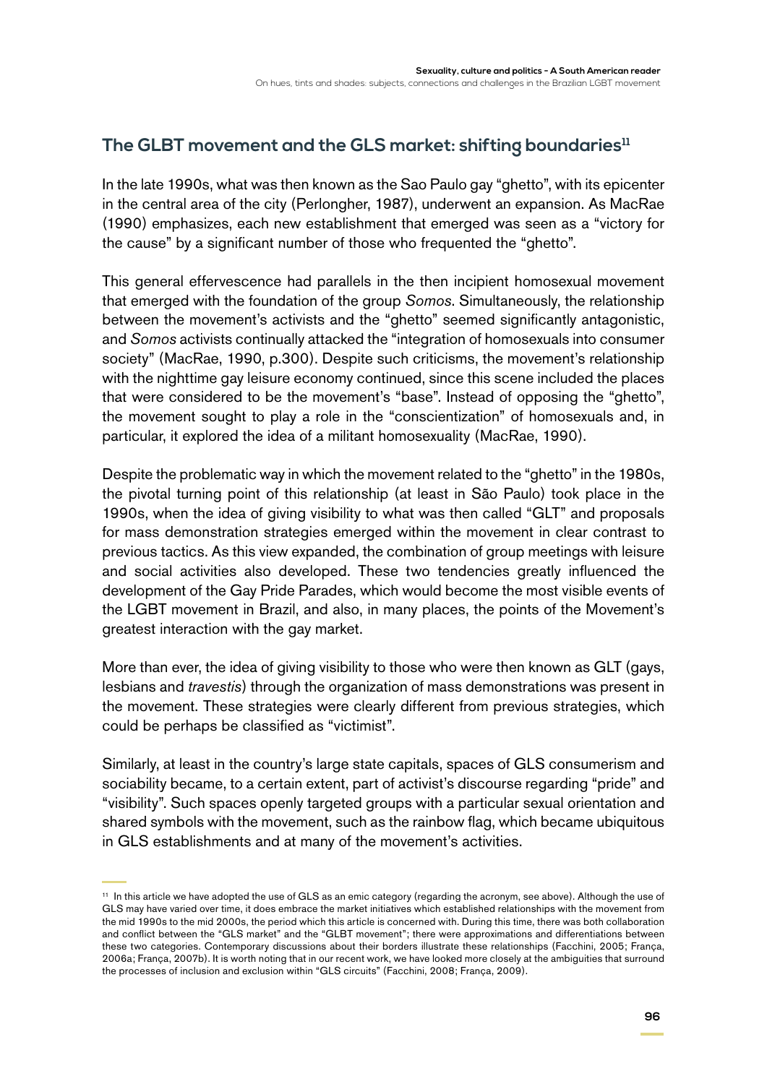# The GLBT movement and the GLS market: shifting boundaries<sup>11</sup>

In the late 1990s, what was then known as the Sao Paulo gay "ghetto", with its epicenter in the central area of the city (Perlongher, 1987), underwent an expansion. As MacRae (1990) emphasizes, each new establishment that emerged was seen as a "victory for the cause" by a significant number of those who frequented the "ghetto".

This general effervescence had parallels in the then incipient homosexual movement that emerged with the foundation of the group *Somos*. Simultaneously, the relationship between the movement's activists and the "ghetto" seemed significantly antagonistic, and *Somos* activists continually attacked the "integration of homosexuals into consumer society" (MacRae, 1990, p.300). Despite such criticisms, the movement's relationship with the nighttime gay leisure economy continued, since this scene included the places that were considered to be the movement's "base". Instead of opposing the "ghetto", the movement sought to play a role in the "conscientization" of homosexuals and, in particular, it explored the idea of a militant homosexuality (MacRae, 1990).

Despite the problematic way in which the movement related to the "ghetto" in the 1980s, the pivotal turning point of this relationship (at least in São Paulo) took place in the 1990s, when the idea of giving visibility to what was then called "GLT" and proposals for mass demonstration strategies emerged within the movement in clear contrast to previous tactics. As this view expanded, the combination of group meetings with leisure and social activities also developed. These two tendencies greatly influenced the development of the Gay Pride Parades, which would become the most visible events of the LGBT movement in Brazil, and also, in many places, the points of the Movement's greatest interaction with the gay market.

More than ever, the idea of giving visibility to those who were then known as GLT (gays, lesbians and *travestis*) through the organization of mass demonstrations was present in the movement. These strategies were clearly different from previous strategies, which could be perhaps be classified as "victimist".

Similarly, at least in the country's large state capitals, spaces of GLS consumerism and sociability became, to a certain extent, part of activist's discourse regarding "pride" and "visibility". Such spaces openly targeted groups with a particular sexual orientation and shared symbols with the movement, such as the rainbow flag, which became ubiquitous in GLS establishments and at many of the movement's activities.

<sup>11</sup> In this article we have adopted the use of GLS as an emic category (regarding the acronym, see above). Although the use of GLS may have varied over time, it does embrace the market initiatives which established relationships with the movement from the mid 1990s to the mid 2000s, the period which this article is concerned with. During this time, there was both collaboration and conflict between the "GLS market" and the "GLBT movement"; there were approximations and differentiations between these two categories. Contemporary discussions about their borders illustrate these relationships (Facchini, 2005; França, 2006a; França, 2007b). It is worth noting that in our recent work, we have looked more closely at the ambiguities that surround the processes of inclusion and exclusion within "GLS circuits" (Facchini, 2008; França, 2009).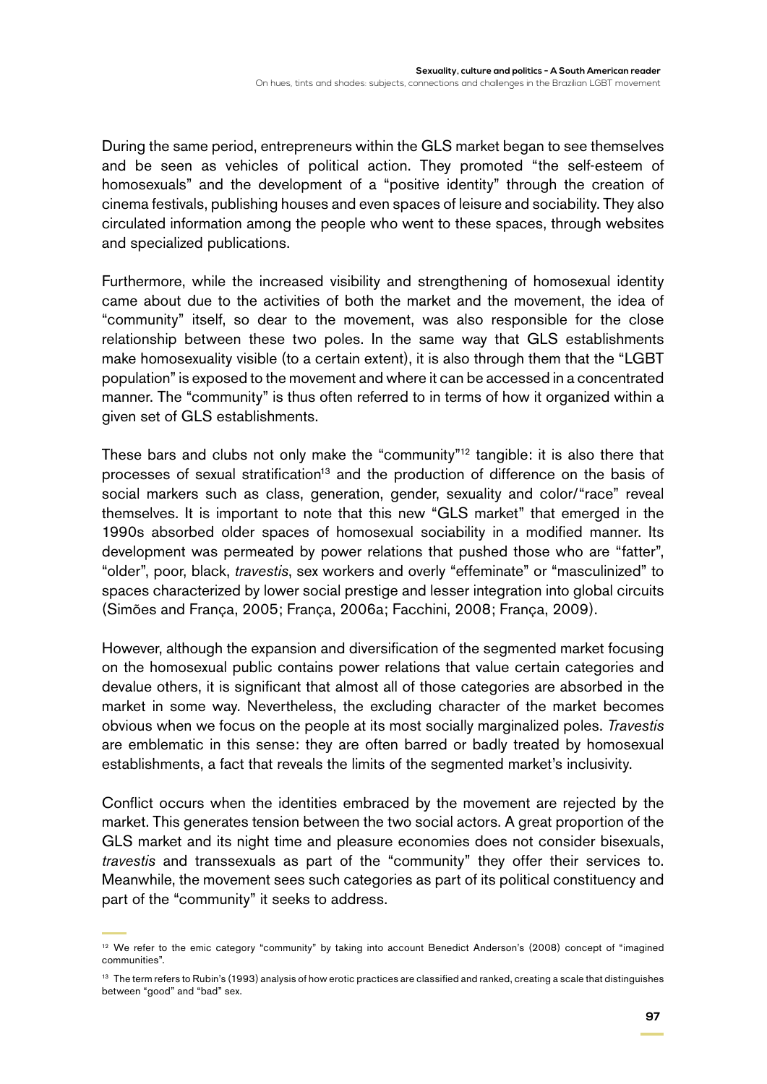During the same period, entrepreneurs within the GLS market began to see themselves and be seen as vehicles of political action. They promoted "the self-esteem of homosexuals" and the development of a "positive identity" through the creation of cinema festivals, publishing houses and even spaces of leisure and sociability. They also circulated information among the people who went to these spaces, through websites and specialized publications.

Furthermore, while the increased visibility and strengthening of homosexual identity came about due to the activities of both the market and the movement, the idea of "community" itself, so dear to the movement, was also responsible for the close relationship between these two poles. In the same way that GLS establishments make homosexuality visible (to a certain extent), it is also through them that the "LGBT population" is exposed to the movement and where it can be accessed in a concentrated manner. The "community" is thus often referred to in terms of how it organized within a given set of GLS establishments.

These bars and clubs not only make the "community"12 tangible: it is also there that processes of sexual stratification<sup>13</sup> and the production of difference on the basis of social markers such as class, generation, gender, sexuality and color/"race" reveal themselves. It is important to note that this new "GLS market" that emerged in the 1990s absorbed older spaces of homosexual sociability in a modified manner. Its development was permeated by power relations that pushed those who are "fatter", "older", poor, black, *travestis*, sex workers and overly "effeminate" or "masculinized" to spaces characterized by lower social prestige and lesser integration into global circuits (Simões and França, 2005; França, 2006a; Facchini, 2008; França, 2009).

However, although the expansion and diversification of the segmented market focusing on the homosexual public contains power relations that value certain categories and devalue others, it is significant that almost all of those categories are absorbed in the market in some way. Nevertheless, the excluding character of the market becomes obvious when we focus on the people at its most socially marginalized poles. *Travestis* are emblematic in this sense: they are often barred or badly treated by homosexual establishments, a fact that reveals the limits of the segmented market's inclusivity.

Conflict occurs when the identities embraced by the movement are rejected by the market. This generates tension between the two social actors. A great proportion of the GLS market and its night time and pleasure economies does not consider bisexuals, *travestis* and transsexuals as part of the "community" they offer their services to. Meanwhile, the movement sees such categories as part of its political constituency and part of the "community" it seeks to address.

<sup>&</sup>lt;sup>12</sup> We refer to the emic category "community" by taking into account Benedict Anderson's (2008) concept of "imagined communities".

<sup>&</sup>lt;sup>13</sup> The term refers to Rubin's (1993) analysis of how erotic practices are classified and ranked, creating a scale that distinguishes between "good" and "bad" sex.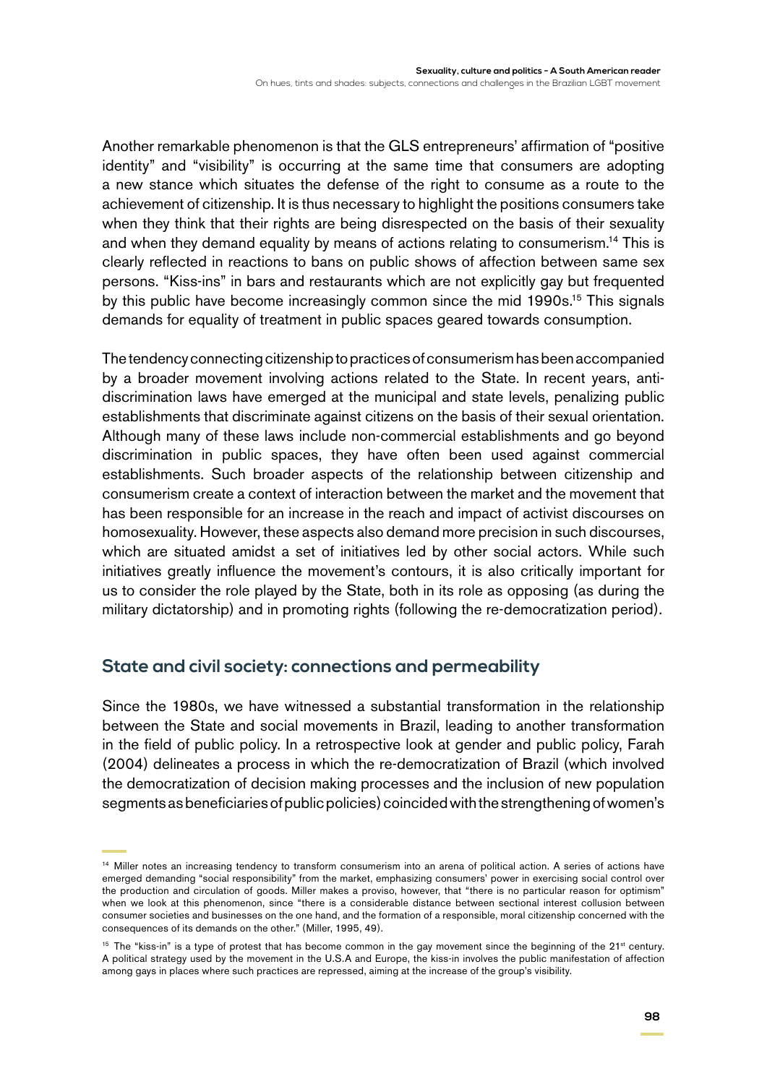Another remarkable phenomenon is that the GLS entrepreneurs' affirmation of "positive identity" and "visibility" is occurring at the same time that consumers are adopting a new stance which situates the defense of the right to consume as a route to the achievement of citizenship. It is thus necessary to highlight the positions consumers take when they think that their rights are being disrespected on the basis of their sexuality and when they demand equality by means of actions relating to consumerism.14 This is clearly reflected in reactions to bans on public shows of affection between same sex persons. "Kiss-ins" in bars and restaurants which are not explicitly gay but frequented by this public have become increasingly common since the mid 1990s.<sup>15</sup> This signals demands for equality of treatment in public spaces geared towards consumption.

The tendency connecting citizenship to practices of consumerism has been accompanied by a broader movement involving actions related to the State. In recent years, antidiscrimination laws have emerged at the municipal and state levels, penalizing public establishments that discriminate against citizens on the basis of their sexual orientation. Although many of these laws include non-commercial establishments and go beyond discrimination in public spaces, they have often been used against commercial establishments. Such broader aspects of the relationship between citizenship and consumerism create a context of interaction between the market and the movement that has been responsible for an increase in the reach and impact of activist discourses on homosexuality. However, these aspects also demand more precision in such discourses, which are situated amidst a set of initiatives led by other social actors. While such initiatives greatly influence the movement's contours, it is also critically important for us to consider the role played by the State, both in its role as opposing (as during the military dictatorship) and in promoting rights (following the re-democratization period).

#### **State and civil society: connections and permeability**

Since the 1980s, we have witnessed a substantial transformation in the relationship between the State and social movements in Brazil, leading to another transformation in the field of public policy. In a retrospective look at gender and public policy, Farah (2004) delineates a process in which the re-democratization of Brazil (which involved the democratization of decision making processes and the inclusion of new population segments as beneficiaries of public policies) coincided with the strengthening of women's

<sup>&</sup>lt;sup>14</sup> Miller notes an increasing tendency to transform consumerism into an arena of political action. A series of actions have emerged demanding "social responsibility" from the market, emphasizing consumers' power in exercising social control over the production and circulation of goods. Miller makes a proviso, however, that "there is no particular reason for optimism" when we look at this phenomenon, since "there is a considerable distance between sectional interest collusion between consumer societies and businesses on the one hand, and the formation of a responsible, moral citizenship concerned with the consequences of its demands on the other." (Miller, 1995, 49).

 $15$  The "kiss-in" is a type of protest that has become common in the gay movement since the beginning of the  $21<sup>st</sup>$  century. A political strategy used by the movement in the U.S.A and Europe, the kiss-in involves the public manifestation of affection among gays in places where such practices are repressed, aiming at the increase of the group's visibility.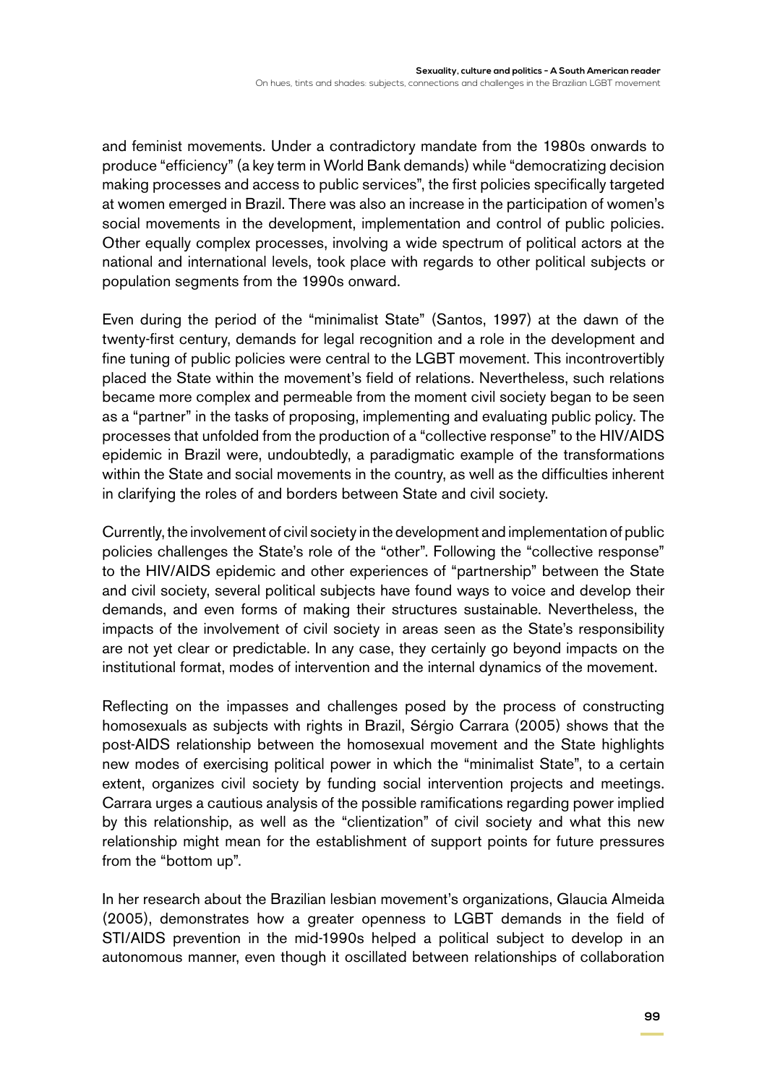and feminist movements. Under a contradictory mandate from the 1980s onwards to produce "efficiency" (a key term in World Bank demands) while "democratizing decision making processes and access to public services", the first policies specifically targeted at women emerged in Brazil. There was also an increase in the participation of women's social movements in the development, implementation and control of public policies. Other equally complex processes, involving a wide spectrum of political actors at the national and international levels, took place with regards to other political subjects or population segments from the 1990s onward.

Even during the period of the "minimalist State" (Santos, 1997) at the dawn of the twenty-first century, demands for legal recognition and a role in the development and fine tuning of public policies were central to the LGBT movement. This incontrovertibly placed the State within the movement's field of relations. Nevertheless, such relations became more complex and permeable from the moment civil society began to be seen as a "partner" in the tasks of proposing, implementing and evaluating public policy. The processes that unfolded from the production of a "collective response" to the HIV/AIDS epidemic in Brazil were, undoubtedly, a paradigmatic example of the transformations within the State and social movements in the country, as well as the difficulties inherent in clarifying the roles of and borders between State and civil society.

Currently, the involvement of civil society in the development and implementation of public policies challenges the State's role of the "other". Following the "collective response" to the HIV/AIDS epidemic and other experiences of "partnership" between the State and civil society, several political subjects have found ways to voice and develop their demands, and even forms of making their structures sustainable. Nevertheless, the impacts of the involvement of civil society in areas seen as the State's responsibility are not yet clear or predictable. In any case, they certainly go beyond impacts on the institutional format, modes of intervention and the internal dynamics of the movement.

Reflecting on the impasses and challenges posed by the process of constructing homosexuals as subjects with rights in Brazil, Sérgio Carrara (2005) shows that the post-AIDS relationship between the homosexual movement and the State highlights new modes of exercising political power in which the "minimalist State", to a certain extent, organizes civil society by funding social intervention projects and meetings. Carrara urges a cautious analysis of the possible ramifications regarding power implied by this relationship, as well as the "clientization" of civil society and what this new relationship might mean for the establishment of support points for future pressures from the "bottom up".

In her research about the Brazilian lesbian movement's organizations, Glaucia Almeida (2005), demonstrates how a greater openness to LGBT demands in the field of STI/AIDS prevention in the mid-1990s helped a political subject to develop in an autonomous manner, even though it oscillated between relationships of collaboration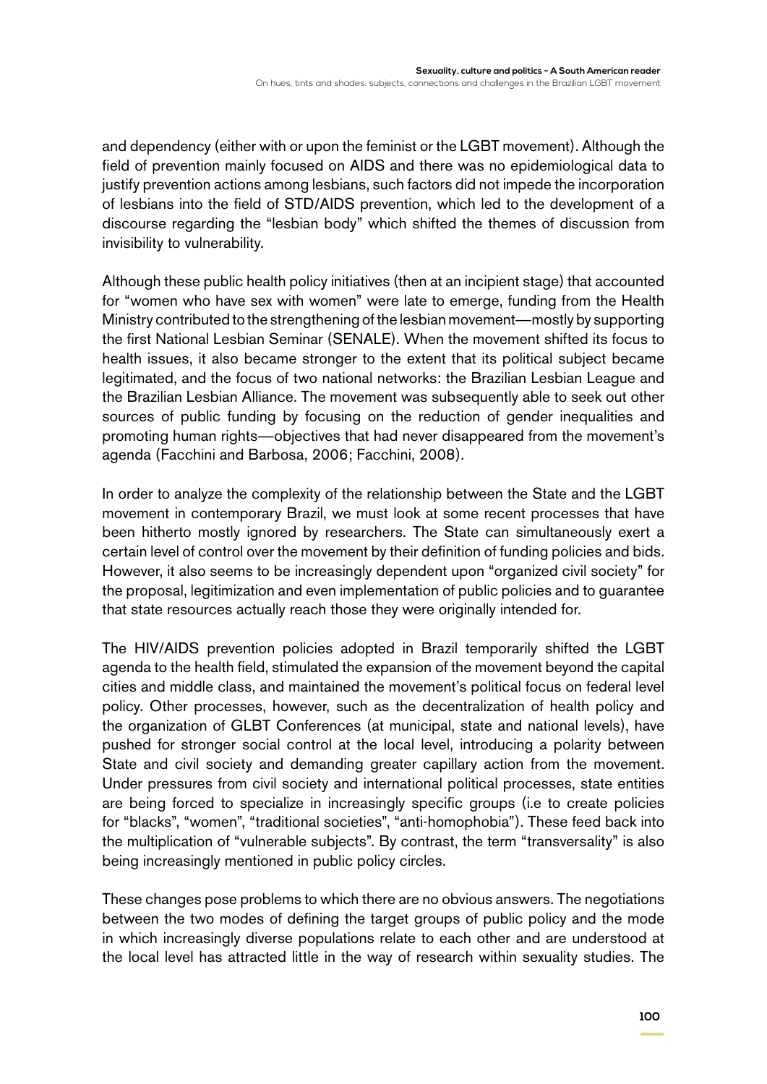and dependency (either with or upon the feminist or the LGBT movement). Although the field of prevention mainly focused on AIDS and there was no epidemiological data to justify prevention actions among lesbians, such factors did not impede the incorporation of lesbians into the field of STD/AIDS prevention, which led to the development of a discourse regarding the "lesbian body" which shifted the themes of discussion from invisibility to vulnerability.

Although these public health policy initiatives (then at an incipient stage) that accounted for "women who have sex with women" were late to emerge, funding from the Health Ministry contributed to the strengthening of the lesbian movement—mostly by supporting the first National Lesbian Seminar (SENALE). When the movement shifted its focus to health issues, it also became stronger to the extent that its political subject became legitimated, and the focus of two national networks: the Brazilian Lesbian League and the Brazilian Lesbian Alliance. The movement was subsequently able to seek out other sources of public funding by focusing on the reduction of gender inequalities and promoting human rights—objectives that had never disappeared from the movement's agenda (Facchini and Barbosa, 2006; Facchini, 2008).

In order to analyze the complexity of the relationship between the State and the LGBT movement in contemporary Brazil, we must look at some recent processes that have been hitherto mostly ignored by researchers. The State can simultaneously exert a certain level of control over the movement by their definition of funding policies and bids. However, it also seems to be increasingly dependent upon "organized civil society" for the proposal, legitimization and even implementation of public policies and to guarantee that state resources actually reach those they were originally intended for.

The HIV/AIDS prevention policies adopted in Brazil temporarily shifted the LGBT agenda to the health field, stimulated the expansion of the movement beyond the capital cities and middle class, and maintained the movement's political focus on federal level policy. Other processes, however, such as the decentralization of health policy and the organization of GLBT Conferences (at municipal, state and national levels), have pushed for stronger social control at the local level, introducing a polarity between State and civil society and demanding greater capillary action from the movement. Under pressures from civil society and international political processes, state entities are being forced to specialize in increasingly specific groups (i.e to create policies for "blacks", "women", "traditional societies", "anti-homophobia"). These feed back into the multiplication of "vulnerable subjects". By contrast, the term "transversality" is also being increasingly mentioned in public policy circles.

These changes pose problems to which there are no obvious answers. The negotiations between the two modes of defining the target groups of public policy and the mode in which increasingly diverse populations relate to each other and are understood at the local level has attracted little in the way of research within sexuality studies. The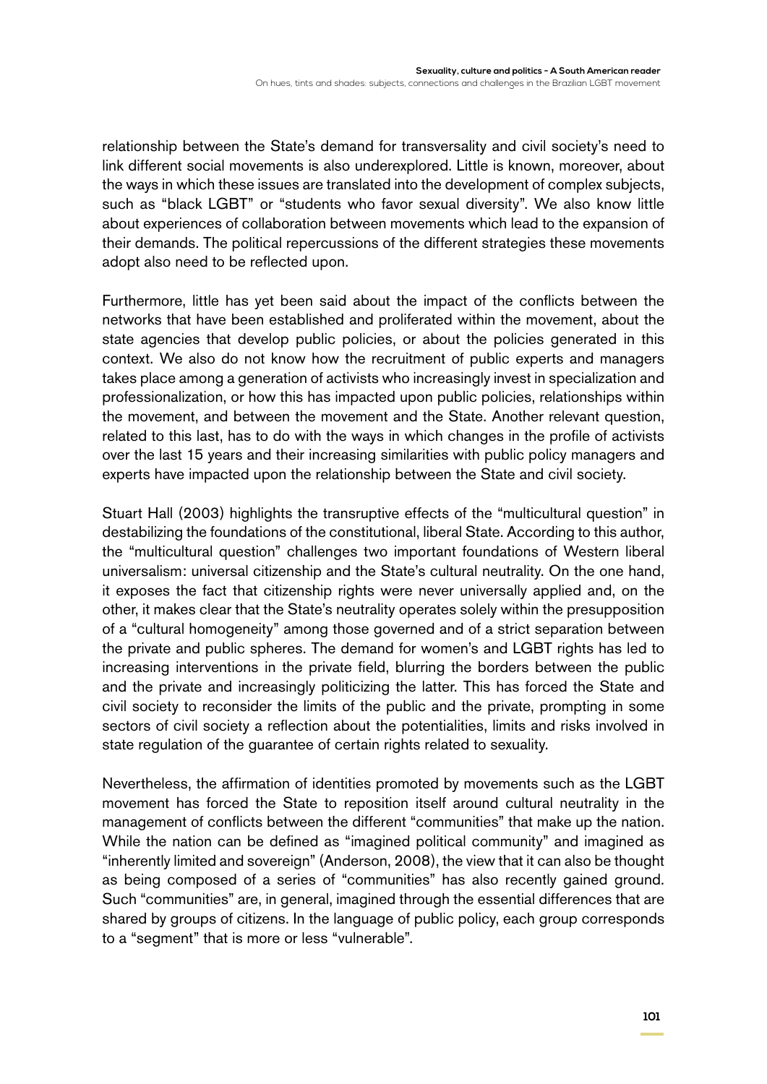relationship between the State's demand for transversality and civil society's need to link different social movements is also underexplored. Little is known, moreover, about the ways in which these issues are translated into the development of complex subjects, such as "black LGBT" or "students who favor sexual diversity". We also know little about experiences of collaboration between movements which lead to the expansion of their demands. The political repercussions of the different strategies these movements adopt also need to be reflected upon.

Furthermore, little has yet been said about the impact of the conflicts between the networks that have been established and proliferated within the movement, about the state agencies that develop public policies, or about the policies generated in this context. We also do not know how the recruitment of public experts and managers takes place among a generation of activists who increasingly invest in specialization and professionalization, or how this has impacted upon public policies, relationships within the movement, and between the movement and the State. Another relevant question, related to this last, has to do with the ways in which changes in the profile of activists over the last 15 years and their increasing similarities with public policy managers and experts have impacted upon the relationship between the State and civil society.

Stuart Hall (2003) highlights the transruptive effects of the "multicultural question" in destabilizing the foundations of the constitutional, liberal State. According to this author, the "multicultural question" challenges two important foundations of Western liberal universalism: universal citizenship and the State's cultural neutrality. On the one hand, it exposes the fact that citizenship rights were never universally applied and, on the other, it makes clear that the State's neutrality operates solely within the presupposition of a "cultural homogeneity" among those governed and of a strict separation between the private and public spheres. The demand for women's and LGBT rights has led to increasing interventions in the private field, blurring the borders between the public and the private and increasingly politicizing the latter. This has forced the State and civil society to reconsider the limits of the public and the private, prompting in some sectors of civil society a reflection about the potentialities, limits and risks involved in state regulation of the guarantee of certain rights related to sexuality.

Nevertheless, the affirmation of identities promoted by movements such as the LGBT movement has forced the State to reposition itself around cultural neutrality in the management of conflicts between the different "communities" that make up the nation. While the nation can be defined as "imagined political community" and imagined as "inherently limited and sovereign" (Anderson, 2008), the view that it can also be thought as being composed of a series of "communities" has also recently gained ground. Such "communities" are, in general, imagined through the essential differences that are shared by groups of citizens. In the language of public policy, each group corresponds to a "segment" that is more or less "vulnerable".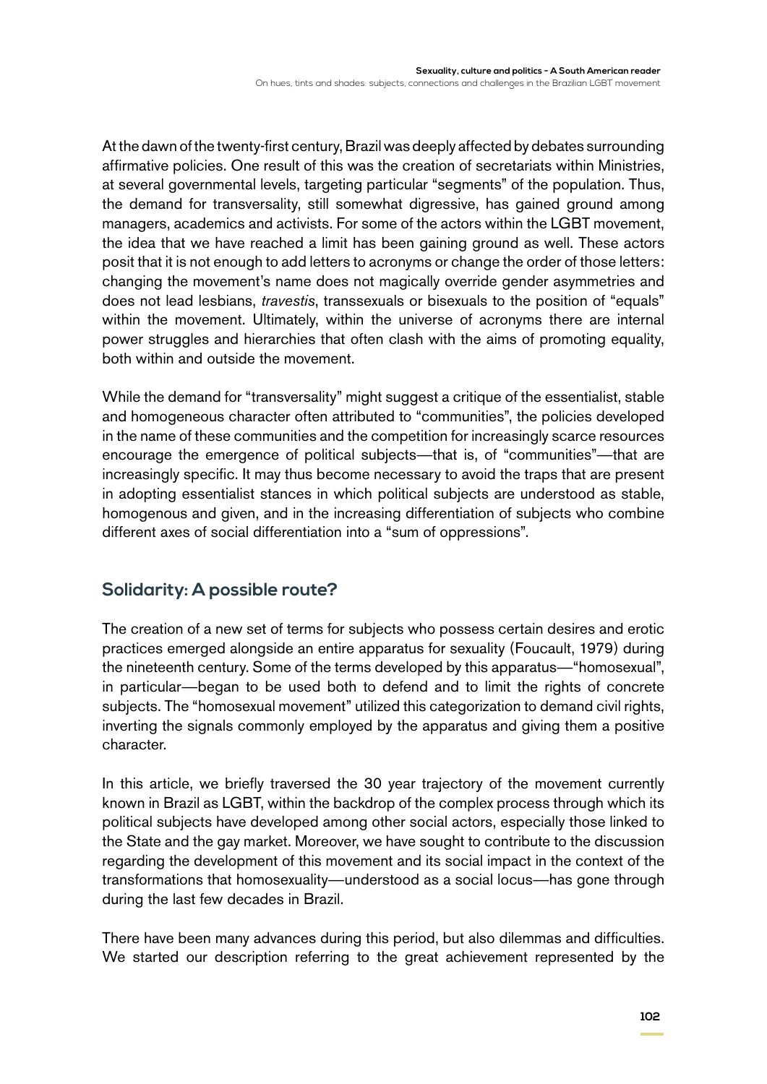At the dawn of the twenty-first century, Brazil was deeply affected by debates surrounding affirmative policies. One result of this was the creation of secretariats within Ministries, at several governmental levels, targeting particular "segments" of the population. Thus, the demand for transversality, still somewhat digressive, has gained ground among managers, academics and activists. For some of the actors within the LGBT movement, the idea that we have reached a limit has been gaining ground as well. These actors posit that it is not enough to add letters to acronyms or change the order of those letters: changing the movement's name does not magically override gender asymmetries and does not lead lesbians, *travestis*, transsexuals or bisexuals to the position of "equals" within the movement. Ultimately, within the universe of acronyms there are internal power struggles and hierarchies that often clash with the aims of promoting equality, both within and outside the movement.

While the demand for "transversality" might suggest a critique of the essentialist, stable and homogeneous character often attributed to "communities", the policies developed in the name of these communities and the competition for increasingly scarce resources encourage the emergence of political subjects—that is, of "communities"—that are increasingly specific. It may thus become necessary to avoid the traps that are present in adopting essentialist stances in which political subjects are understood as stable, homogenous and given, and in the increasing differentiation of subjects who combine different axes of social differentiation into a "sum of oppressions".

## **Solidarity: A possible route?**

The creation of a new set of terms for subjects who possess certain desires and erotic practices emerged alongside an entire apparatus for sexuality (Foucault, 1979) during the nineteenth century. Some of the terms developed by this apparatus—"homosexual", in particular—began to be used both to defend and to limit the rights of concrete subjects. The "homosexual movement" utilized this categorization to demand civil rights, inverting the signals commonly employed by the apparatus and giving them a positive character.

In this article, we briefly traversed the 30 year trajectory of the movement currently known in Brazil as LGBT, within the backdrop of the complex process through which its political subjects have developed among other social actors, especially those linked to the State and the gay market. Moreover, we have sought to contribute to the discussion regarding the development of this movement and its social impact in the context of the transformations that homosexuality—understood as a social locus—has gone through during the last few decades in Brazil.

There have been many advances during this period, but also dilemmas and difficulties. We started our description referring to the great achievement represented by the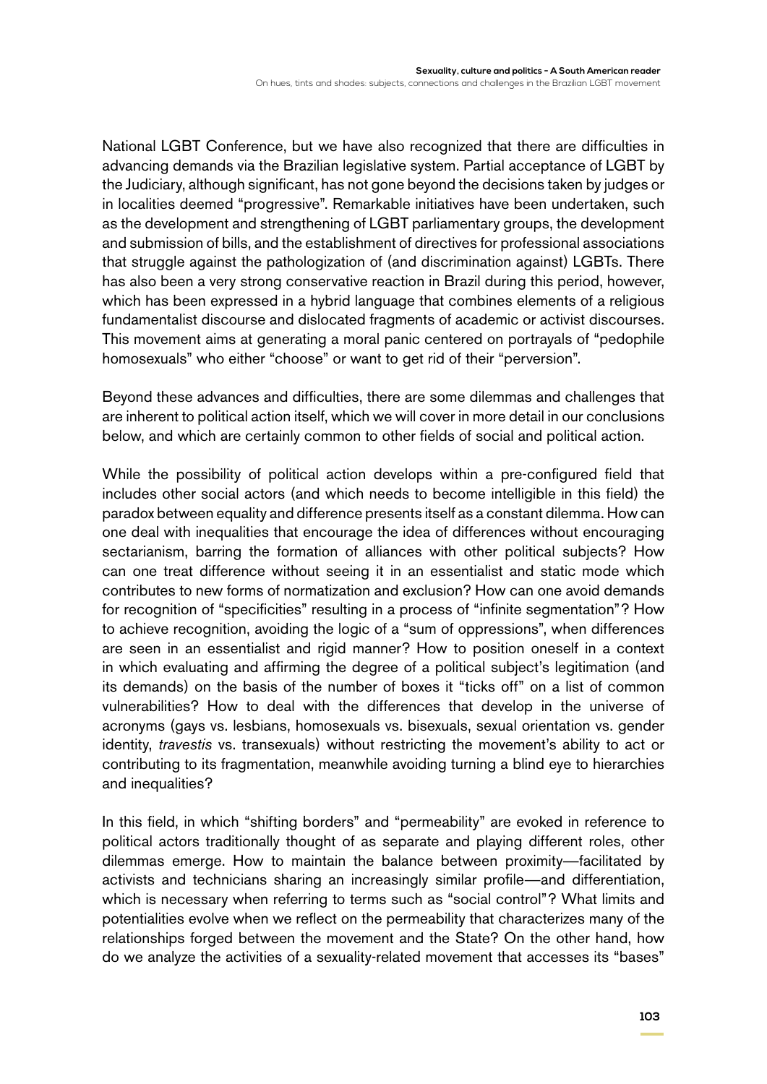National LGBT Conference, but we have also recognized that there are difficulties in advancing demands via the Brazilian legislative system. Partial acceptance of LGBT by the Judiciary, although significant, has not gone beyond the decisions taken by judges or in localities deemed "progressive". Remarkable initiatives have been undertaken, such as the development and strengthening of LGBT parliamentary groups, the development and submission of bills, and the establishment of directives for professional associations that struggle against the pathologization of (and discrimination against) LGBTs. There has also been a very strong conservative reaction in Brazil during this period, however, which has been expressed in a hybrid language that combines elements of a religious fundamentalist discourse and dislocated fragments of academic or activist discourses. This movement aims at generating a moral panic centered on portrayals of "pedophile homosexuals" who either "choose" or want to get rid of their "perversion".

Beyond these advances and difficulties, there are some dilemmas and challenges that are inherent to political action itself, which we will cover in more detail in our conclusions below, and which are certainly common to other fields of social and political action.

While the possibility of political action develops within a pre-configured field that includes other social actors (and which needs to become intelligible in this field) the paradox between equality and difference presents itself as a constant dilemma. How can one deal with inequalities that encourage the idea of differences without encouraging sectarianism, barring the formation of alliances with other political subjects? How can one treat difference without seeing it in an essentialist and static mode which contributes to new forms of normatization and exclusion? How can one avoid demands for recognition of "specificities" resulting in a process of "infinite segmentation"? How to achieve recognition, avoiding the logic of a "sum of oppressions", when differences are seen in an essentialist and rigid manner? How to position oneself in a context in which evaluating and affirming the degree of a political subject's legitimation (and its demands) on the basis of the number of boxes it "ticks off" on a list of common vulnerabilities? How to deal with the differences that develop in the universe of acronyms (gays vs. lesbians, homosexuals vs. bisexuals, sexual orientation vs. gender identity, *travestis* vs. transexuals) without restricting the movement's ability to act or contributing to its fragmentation, meanwhile avoiding turning a blind eye to hierarchies and inequalities?

In this field, in which "shifting borders" and "permeability" are evoked in reference to political actors traditionally thought of as separate and playing different roles, other dilemmas emerge. How to maintain the balance between proximity—facilitated by activists and technicians sharing an increasingly similar profile—and differentiation, which is necessary when referring to terms such as "social control"? What limits and potentialities evolve when we reflect on the permeability that characterizes many of the relationships forged between the movement and the State? On the other hand, how do we analyze the activities of a sexuality-related movement that accesses its "bases"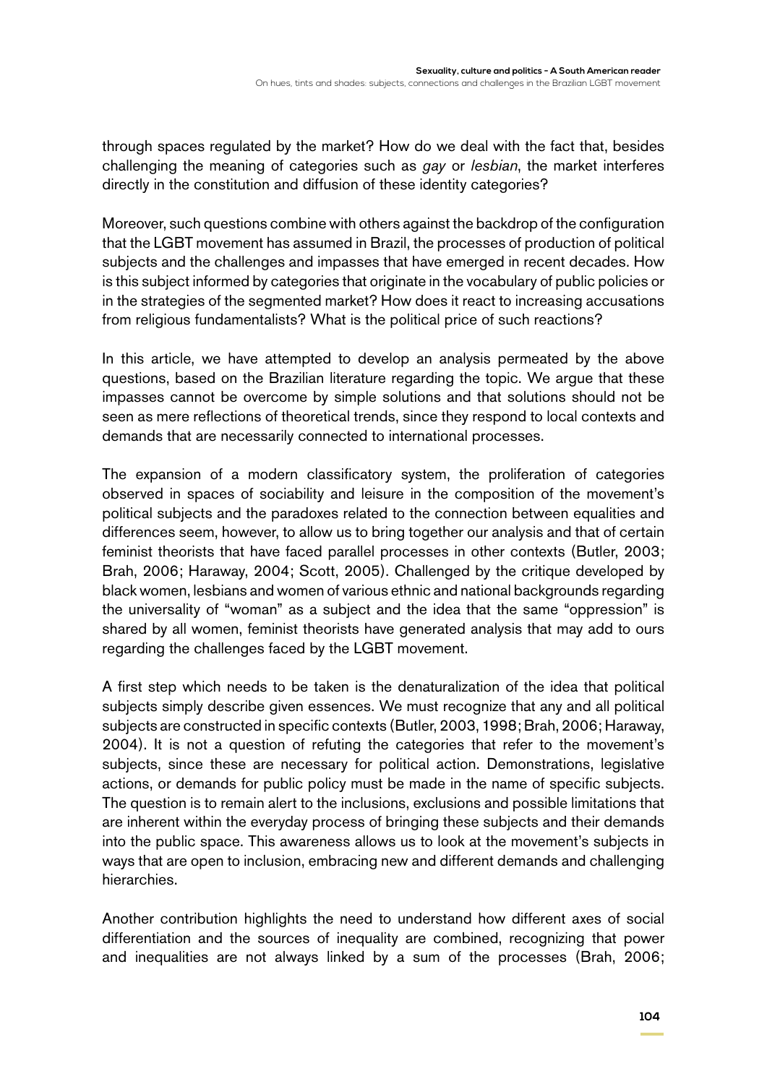through spaces regulated by the market? How do we deal with the fact that, besides challenging the meaning of categories such as *gay* or *lesbian*, the market interferes directly in the constitution and diffusion of these identity categories?

Moreover, such questions combine with others against the backdrop of the configuration that the LGBT movement has assumed in Brazil, the processes of production of political subjects and the challenges and impasses that have emerged in recent decades. How is this subject informed by categories that originate in the vocabulary of public policies or in the strategies of the segmented market? How does it react to increasing accusations from religious fundamentalists? What is the political price of such reactions?

In this article, we have attempted to develop an analysis permeated by the above questions, based on the Brazilian literature regarding the topic. We argue that these impasses cannot be overcome by simple solutions and that solutions should not be seen as mere reflections of theoretical trends, since they respond to local contexts and demands that are necessarily connected to international processes.

The expansion of a modern classificatory system, the proliferation of categories observed in spaces of sociability and leisure in the composition of the movement's political subjects and the paradoxes related to the connection between equalities and differences seem, however, to allow us to bring together our analysis and that of certain feminist theorists that have faced parallel processes in other contexts (Butler, 2003; Brah, 2006; Haraway, 2004; Scott, 2005). Challenged by the critique developed by black women, lesbians and women of various ethnic and national backgrounds regarding the universality of "woman" as a subject and the idea that the same "oppression" is shared by all women, feminist theorists have generated analysis that may add to ours regarding the challenges faced by the LGBT movement.

A first step which needs to be taken is the denaturalization of the idea that political subjects simply describe given essences. We must recognize that any and all political subjects are constructed in specific contexts (Butler, 2003, 1998; Brah, 2006; Haraway, 2004). It is not a question of refuting the categories that refer to the movement's subjects, since these are necessary for political action. Demonstrations, legislative actions, or demands for public policy must be made in the name of specific subjects. The question is to remain alert to the inclusions, exclusions and possible limitations that are inherent within the everyday process of bringing these subjects and their demands into the public space. This awareness allows us to look at the movement's subjects in ways that are open to inclusion, embracing new and different demands and challenging hierarchies.

Another contribution highlights the need to understand how different axes of social differentiation and the sources of inequality are combined, recognizing that power and inequalities are not always linked by a sum of the processes (Brah, 2006;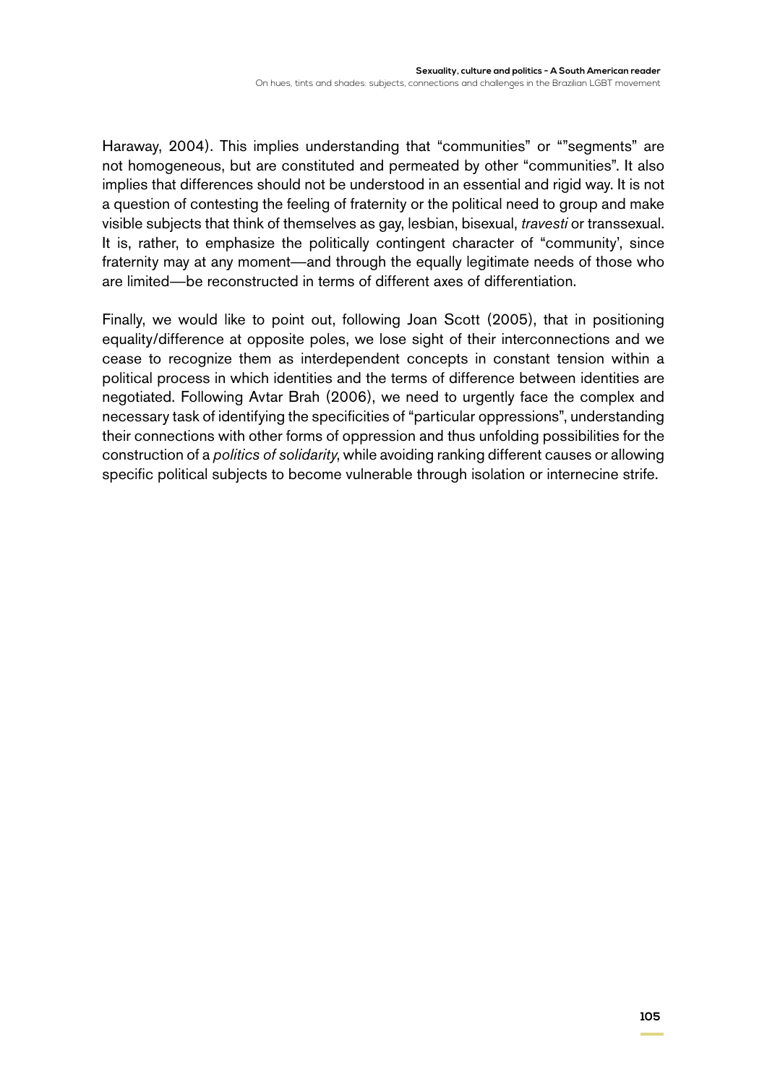Haraway, 2004). This implies understanding that "communities" or ""segments" are not homogeneous, but are constituted and permeated by other "communities". It also implies that differences should not be understood in an essential and rigid way. It is not a question of contesting the feeling of fraternity or the political need to group and make visible subjects that think of themselves as gay, lesbian, bisexual, *travesti* or transsexual. It is, rather, to emphasize the politically contingent character of "community', since fraternity may at any moment—and through the equally legitimate needs of those who are limited—be reconstructed in terms of different axes of differentiation.

Finally, we would like to point out, following Joan Scott (2005), that in positioning equality/difference at opposite poles, we lose sight of their interconnections and we cease to recognize them as interdependent concepts in constant tension within a political process in which identities and the terms of difference between identities are negotiated. Following Avtar Brah (2006), we need to urgently face the complex and necessary task of identifying the specificities of "particular oppressions", understanding their connections with other forms of oppression and thus unfolding possibilities for the construction of a *politics of solidarity*, while avoiding ranking different causes or allowing specific political subjects to become vulnerable through isolation or internecine strife.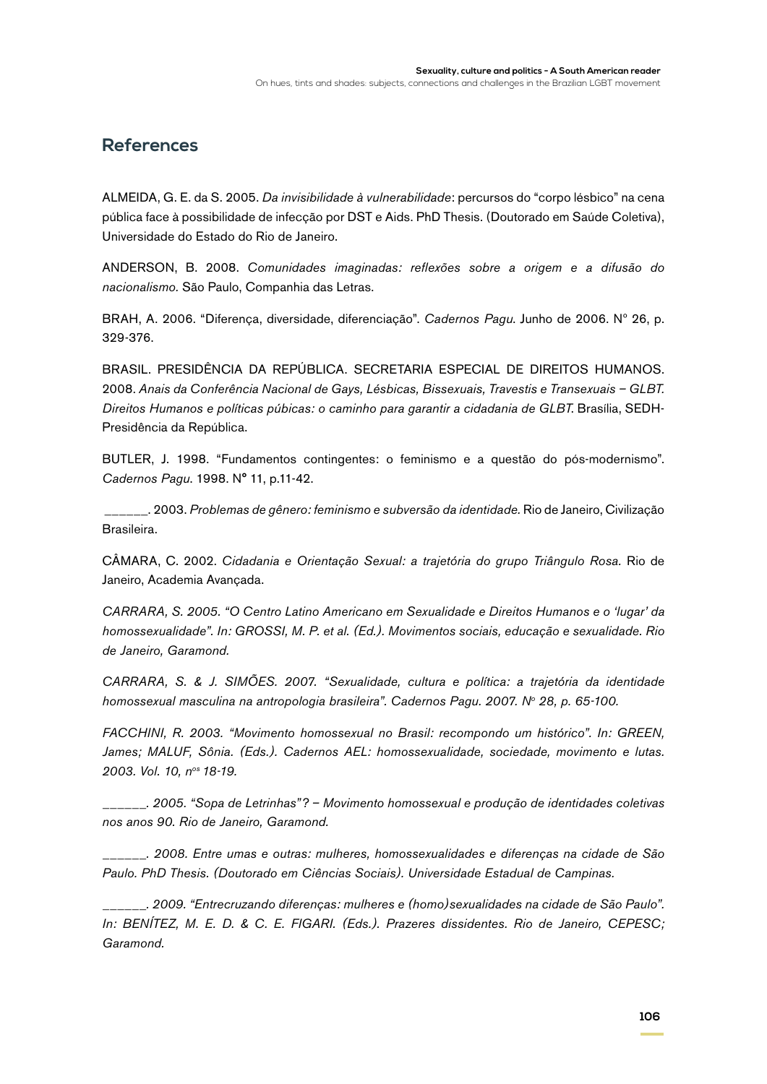### **References**

ALMEIDA, G. E. da S. 2005. *Da invisibilidade à vulnerabilidade*: percursos do "corpo lésbico" na cena pública face à possibilidade de infecção por DST e Aids. PhD Thesis. (Doutorado em Saúde Coletiva), Universidade do Estado do Rio de Janeiro.

ANDERSON, B. 2008. *Comunidades imaginadas: reflexões sobre a origem e a difusão do nacionalismo.* São Paulo, Companhia das Letras.

BRAH, A. 2006. "Diferença, diversidade, diferenciação". *Cadernos Pagu*. Junho de 2006. Nº 26, p. 329-376.

BRASIL. PRESIDÊNCIA DA REPÚBLICA. SECRETARIA ESPECIAL DE DIREITOS HUMANOS. 2008. *Anais da Conferência Nacional de Gays, Lésbicas, Bissexuais, Travestis e Transexuais – GLBT. Direitos Humanos e políticas púbicas: o caminho para garantir a cidadania de GLBT*. Brasília, SEDH-Presidência da República.

BUTLER, J. 1998. "Fundamentos contingentes: o feminismo e a questão do pós-modernismo". *Cadernos Pagu*. 1998. N° 11, p.11-42.

 \_\_\_\_\_\_. 2003. *Problemas de gênero: feminismo e subversão da identidade.* Rio de Janeiro, Civilização Brasileira.

CÂMARA, C. 2002. *Cidadania e Orientação Sexual: a trajetória do grupo Triângulo Rosa.* Rio de Janeiro, Academia Avançada.

*CARRARA, S. 2005. "O Centro Latino Americano em Sexualidade e Direitos Humanos e o 'lugar' da homossexualidade". In: GROSSI, M. P. et al. (Ed.). Movimentos sociais, educação e sexualidade. Rio de Janeiro, Garamond.*

*CARRARA, S. & J. SIMÕES. 2007. "Sexualidade, cultura e política: a trajetória da identidade homossexual masculina na antropologia brasileira". Cadernos Pagu. 2007. No 28, p. 65-100.*

*FACCHINI, R. 2003. "Movimento homossexual no Brasil: recompondo um histórico". In: GREEN, James; MALUF, Sônia. (Eds.). Cadernos AEL: homossexualidade, sociedade, movimento e lutas. 2003. Vol. 10, nos 18-19.*

*\_\_\_\_\_\_. 2005. "Sopa de Letrinhas"? – Movimento homossexual e produção de identidades coletivas nos anos 90. Rio de Janeiro, Garamond.*

*\_\_\_\_\_\_. 2008. Entre umas e outras: mulheres, homossexualidades e diferenças na cidade de São Paulo. PhD Thesis. (Doutorado em Ciências Sociais). Universidade Estadual de Campinas.*

*\_\_\_\_\_\_. 2009. "Entrecruzando diferenças: mulheres e (homo)sexualidades na cidade de São Paulo". In: BENÍTEZ, M. E. D. & C. E. FIGARI. (Eds.). Prazeres dissidentes. Rio de Janeiro, CEPESC; Garamond.*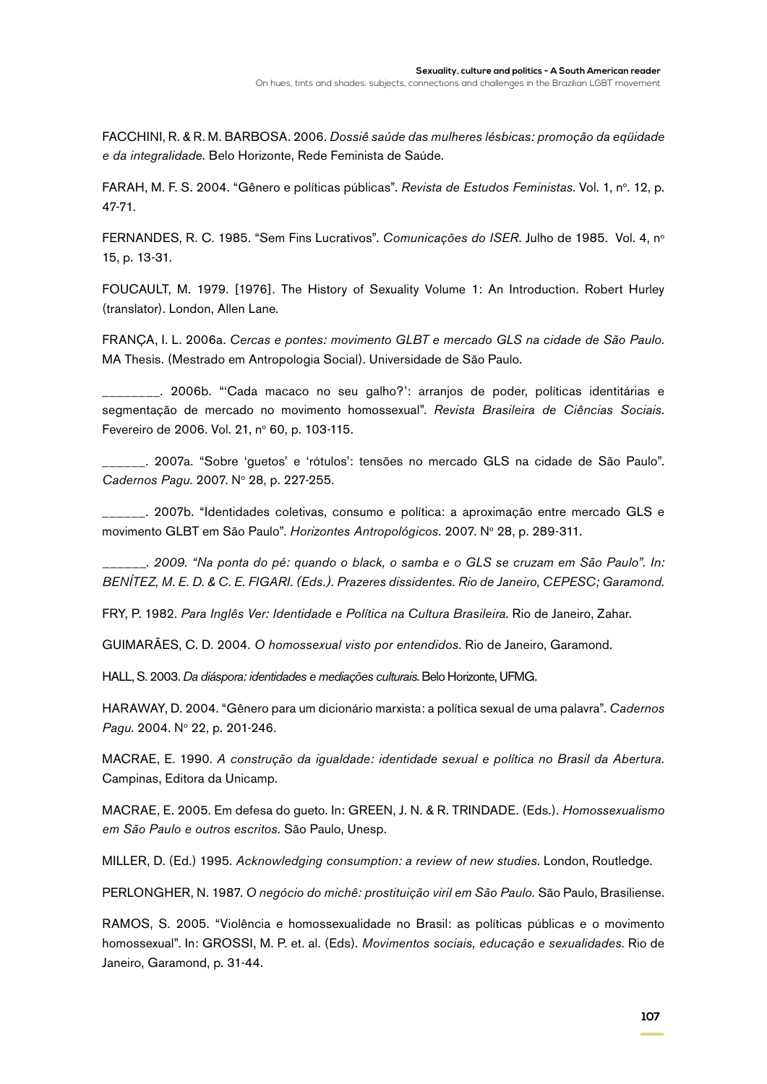FACCHINI, R. & R. M. BARBOSA. 2006. *Dossiê saúde das mulheres lésbicas: promoção da eqüidade e da integralidade.* Belo Horizonte, Rede Feminista de Saúde.

FARAH, M. F. S. 2004. "Gênero e políticas públicas". *Revista de Estudos Feministas*. Vol. 1, nº. 12, p. 47-71.

FERNANDES, R. C. 1985. "Sem Fins Lucrativos". *Comunicações do ISER*. Julho de 1985. Vol. 4, no 15, p. 13-31.

FOUCAULT, M. 1979. [1976]. The History of Sexuality Volume 1: An Introduction. Robert Hurley (translator). London, Allen Lane.

FRANÇA, I. L. 2006a. *Cercas e pontes: movimento GLBT e mercado GLS na cidade de São Paulo.* MA Thesis. (Mestrado em Antropologia Social). Universidade de São Paulo.

\_\_\_\_\_\_\_\_. 2006b. "'Cada macaco no seu galho?': arranjos de poder, políticas identitárias e segmentação de mercado no movimento homossexual". *Revista Brasileira de Ciências Sociais*. Fevereiro de 2006. Vol. 21, nº 60, p. 103-115.

\_\_\_\_\_\_. 2007a. "Sobre 'guetos' e 'rótulos': tensões no mercado GLS na cidade de São Paulo". Cadernos Pagu. 2007. Nº 28, p. 227-255.

\_\_\_\_\_\_. 2007b. "Identidades coletivas, consumo e política: a aproximação entre mercado GLS e movimento GLBT em São Paulo". *Horizontes Antropológicos*. 2007. Nº 28, p. 289-311.

*\_\_\_\_\_\_. 2009. "Na ponta do pé: quando o black, o samba e o GLS se cruzam em São Paulo". In: BENÍTEZ, M. E. D. & C. E. FIGARI. (Eds.). Prazeres dissidentes. Rio de Janeiro, CEPESC; Garamond.*

FRY, P. 1982. *Para Inglês Ver: Identidade e Política na Cultura Brasileira*. Rio de Janeiro, Zahar.

GUIMARÃES, C. D. 2004. *O homossexual visto por entendidos.* Rio de Janeiro, Garamond.

HALL, S. 2003. *Da diáspora: identidades e mediações culturais*. Belo Horizonte, UFMG.

HARAWAY, D. 2004. "Gênero para um dicionário marxista: a política sexual de uma palavra". *Cadernos*  Pagu. 2004. Nº 22, p. 201-246.

MACRAE, E. 1990. *A construção da igualdade: identidade sexual e política no Brasil da Abertura.*  Campinas, Editora da Unicamp.

MACRAE, E. 2005. Em defesa do gueto. In: GREEN, J. N. & R. TRINDADE. (Eds.). *Homossexualismo em São Paulo e outros escritos.* São Paulo, Unesp.

Miller, D. (Ed.) 1995. *Acknowledging consumption: a review of new studies.* London, Routledge.

PERLONGHER, N. 1987. *O negócio do michê: prostituição viril em São Paulo*. São Paulo, Brasiliense.

RAMOS, S. 2005. "Violência e homossexualidade no Brasil: as políticas públicas e o movimento homossexual". In: GROSSI, M. P. et. al. (Eds). *Movimentos sociais, educação e sexualidades*. Rio de Janeiro, Garamond, p. 31-44.